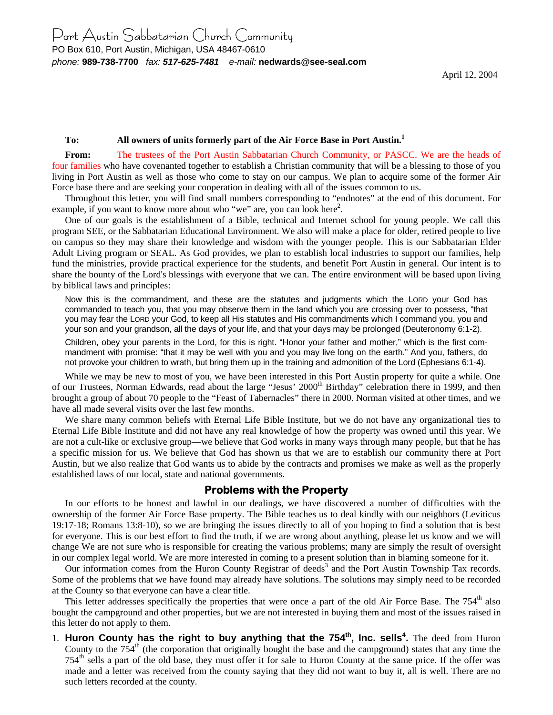#### **To: All owners of units formerly part of the Air Force Base in Port Austin.1**

**From:** The trustees of the Port Austin Sabbatarian Church Community, or PASCC. We are the heads of four families who have covenanted together to establish a Christian community that will be a blessing to those of you living in Port Austin as well as those who come to stay on our campus. We plan to acquire some of the former Air Force base there and are seeking your cooperation in dealing with all of the issues common to us.

Throughout this letter, you will find small numbers corresponding to "endnotes" at the end of this document. For example, if you want to know more about who "we" are, you can look here<sup>2</sup>.

One of our goals is the establishment of a Bible, technical and Internet school for young people. We call this program SEE, or the Sabbatarian Educational Environment. We also will make a place for older, retired people to live on campus so they may share their knowledge and wisdom with the younger people. This is our Sabbatarian Elder Adult Living program or SEAL. As God provides, we plan to establish local industries to support our families, help fund the ministries, provide practical experience for the students, and benefit Port Austin in general. Our intent is to share the bounty of the Lord's blessings with everyone that we can. The entire environment will be based upon living by biblical laws and principles:

Now this is the commandment, and these are the statutes and judgments which the LORD your God has commanded to teach you, that you may observe them in the land which you are crossing over to possess, "that you may fear the LORD your God, to keep all His statutes and His commandments which I command you, you and your son and your grandson, all the days of your life, and that your days may be prolonged (Deuteronomy 6:1-2).

Children, obey your parents in the Lord, for this is right. "Honor your father and mother," which is the first commandment with promise: "that it may be well with you and you may live long on the earth." And you, fathers, do not provoke your children to wrath, but bring them up in the training and admonition of the Lord (Ephesians 6:1-4).

While we may be new to most of you, we have been interested in this Port Austin property for quite a while. One of our Trustees, Norman Edwards, read about the large "Jesus' 2000<sup>th</sup> Birthday" celebration there in 1999, and then brought a group of about 70 people to the "Feast of Tabernacles" there in 2000. Norman visited at other times, and we have all made several visits over the last few months.

We share many common beliefs with Eternal Life Bible Institute, but we do not have any organizational ties to Eternal Life Bible Institute and did not have any real knowledge of how the property was owned until this year. We are not a cult-like or exclusive group—we believe that God works in many ways through many people, but that he has a specific mission for us. We believe that God has shown us that we are to establish our community there at Port Austin, but we also realize that God wants us to abide by the contracts and promises we make as well as the properly established laws of our local, state and national governments.

#### **Problems with the Property**

In our efforts to be honest and lawful in our dealings, we have discovered a number of difficulties with the ownership of the former Air Force Base property. The Bible teaches us to deal kindly with our neighbors (Leviticus 19:17-18; Romans 13:8-10), so we are bringing the issues directly to all of you hoping to find a solution that is best for everyone. This is our best effort to find the truth, if we are wrong about anything, please let us know and we will change We are not sure who is responsible for creating the various problems; many are simply the result of oversight in our complex legal world. We are more interested in coming to a present solution than in blaming someone for it.

Our information comes from the Huron County Registrar of deeds<sup>3</sup> and the Port Austin Township Tax records. Some of the problems that we have found may already have solutions. The solutions may simply need to be recorded at the County so that everyone can have a clear title.

This letter addresses specifically the properties that were once a part of the old Air Force Base. The  $754<sup>th</sup>$  also bought the campground and other properties, but we are not interested in buying them and most of the issues raised in this letter do not apply to them.

1. Huron County has the right to buy anything that the 754<sup>th</sup>, Inc. sells<sup>4</sup>. The deed from Huron County to the  $754<sup>th</sup>$  (the corporation that originally bought the base and the campground) states that any time the  $754<sup>th</sup>$  sells a part of the old base, they must offer it for sale to Huron County at the same price. If the offer was made and a letter was received from the county saying that they did not want to buy it, all is well. There are no such letters recorded at the county.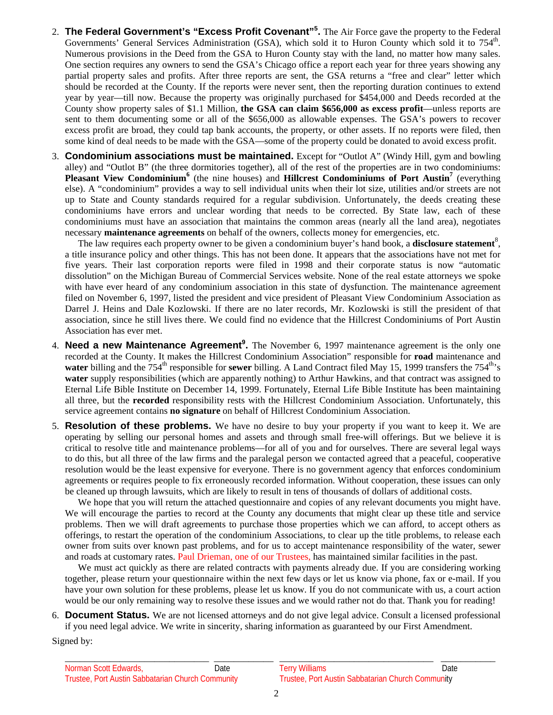- 2. **The Federal Government's "Excess Profit Covenant"<sup>5</sup> .** The Air Force gave the property to the Federal Governments' General Services Administration (GSA), which sold it to Huron County which sold it to 754<sup>th</sup>. Numerous provisions in the Deed from the GSA to Huron County stay with the land, no matter how many sales. One section requires any owners to send the GSA's Chicago office a report each year for three years showing any partial property sales and profits. After three reports are sent, the GSA returns a "free and clear" letter which should be recorded at the County. If the reports were never sent, then the reporting duration continues to extend year by year—till now. Because the property was originally purchased for \$454,000 and Deeds recorded at the County show property sales of \$1.1 Million, **the GSA can claim \$656,000 as excess profit**—unless reports are sent to them documenting some or all of the \$656,000 as allowable expenses. The GSA's powers to recover excess profit are broad, they could tap bank accounts, the property, or other assets. If no reports were filed, then some kind of deal needs to be made with the GSA—some of the property could be donated to avoid excess profit.
- 3. **Condominium associations must be maintained.** Except for "Outlot A" (Windy Hill, gym and bowling alley) and "Outlot B" (the three dormitories together), all of the rest of the properties are in two condominiums: Pleasant View Condominium<sup>6</sup> (the nine houses) and Hillcrest Condominiums of Port Austin<sup>7</sup> (everything else). A "condominium" provides a way to sell individual units when their lot size, utilities and/or streets are not up to State and County standards required for a regular subdivision. Unfortunately, the deeds creating these condominiums have errors and unclear wording that needs to be corrected. By State law, each of these condominiums must have an association that maintains the common areas (nearly all the land area), negotiates necessary **maintenance agreements** on behalf of the owners, collects money for emergencies, etc.

The law requires each property owner to be given a condominium buyer's hand book, a **disclosure statement**<sup>8</sup>, a title insurance policy and other things. This has not been done. It appears that the associations have not met for five years. Their last corporation reports were filed in 1998 and their corporate status is now "automatic dissolution" on the Michigan Bureau of Commercial Services website. None of the real estate attorneys we spoke with have ever heard of any condominium association in this state of dysfunction. The maintenance agreement filed on November 6, 1997, listed the president and vice president of Pleasant View Condominium Association as Darrel J. Heins and Dale Kozlowski. If there are no later records, Mr. Kozlowski is still the president of that association, since he still lives there. We could find no evidence that the Hillcrest Condominiums of Port Austin Association has ever met.

- 4. **Need a new Maintenance Agreement<sup>9</sup>.** The November 6, 1997 maintenance agreement is the only one recorded at the County. It makes the Hillcrest Condominium Association" responsible for **road** maintenance and **water** billing and the  $754<sup>th</sup>$  responsible for **sewer** billing. A Land Contract filed May 15, 1999 transfers the  $754<sup>th</sup>$ <sub>s</sub> **water** supply responsibilities (which are apparently nothing) to Arthur Hawkins, and that contract was assigned to Eternal Life Bible Institute on December 14, 1999. Fortunately, Eternal Life Bible Institute has been maintaining all three, but the **recorded** responsibility rests with the Hillcrest Condominium Association. Unfortunately, this service agreement contains **no signature** on behalf of Hillcrest Condominium Association.
- 5. **Resolution of these problems.** We have no desire to buy your property if you want to keep it. We are operating by selling our personal homes and assets and through small free-will offerings. But we believe it is critical to resolve title and maintenance problems—for all of you and for ourselves. There are several legal ways to do this, but all three of the law firms and the paralegal person we contacted agreed that a peaceful, cooperative resolution would be the least expensive for everyone. There is no government agency that enforces condominium agreements or requires people to fix erroneously recorded information. Without cooperation, these issues can only be cleaned up through lawsuits, which are likely to result in tens of thousands of dollars of additional costs.

We hope that you will return the attached questionnaire and copies of any relevant documents you might have. We will encourage the parties to record at the County any documents that might clear up these title and service problems. Then we will draft agreements to purchase those properties which we can afford, to accept others as offerings, to restart the operation of the condominium Associations, to clear up the title problems, to release each owner from suits over known past problems, and for us to accept maintenance responsibility of the water, sewer and roads at customary rates. Paul Drieman, one of our Trustees, has maintained similar facilities in the past.

We must act quickly as there are related contracts with payments already due. If you are considering working together, please return your questionnaire within the next few days or let us know via phone, fax or e-mail. If you have your own solution for these problems, please let us know. If you do not communicate with us, a court action would be our only remaining way to resolve these issues and we would rather not do that. Thank you for reading!

6. **Document Status.** We are not licensed attorneys and do not give legal advice. Consult a licensed professional if you need legal advice. We write in sincerity, sharing information as guaranteed by our First Amendment.

Signed by: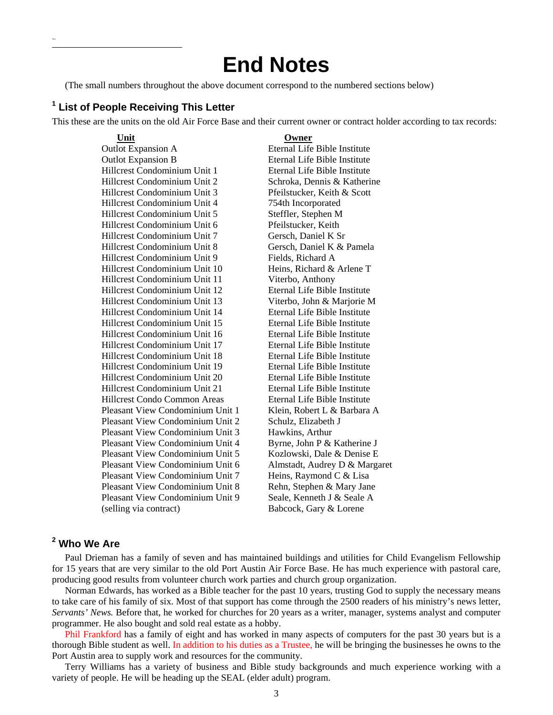# **End Notes**

(The small numbers throughout the above document correspond to the numbered sections below)

## **1 List of People Receiving This Letter**

This these are the units on the old Air Force Base and their current owner or contract holder according to tax records:

### **Unit Owner**

Thisi  $\overline{a}$ 

> Outlot Expansion A Eternal Life Bible Institute Outlot Expansion B Eternal Life Bible Institute Hillcrest Condominium Unit 1 Eternal Life Bible Institute Hillcrest Condominium Unit 2 Schroka, Dennis & Katherine Hillcrest Condominium Unit 3 Pfeilstucker, Keith & Scott Hillcrest Condominium Unit 4 754th Incorporated Hillcrest Condominium Unit 5 Steffler, Stephen M Hillcrest Condominium Unit 6 Pfeilstucker, Keith Hillcrest Condominium Unit 7 Gersch, Daniel K Sr Hillcrest Condominium Unit 8 Gersch, Daniel K & Pamela Hillcrest Condominium Unit 9 Fields, Richard A Hillcrest Condominium Unit 10 Heins, Richard & Arlene T Hillcrest Condominium Unit 11 Viterbo, Anthony Hillcrest Condominium Unit 12 Eternal Life Bible Institute Hillcrest Condominium Unit 13 Viterbo, John & Marjorie M Hillcrest Condominium Unit 14 Eternal Life Bible Institute Hillcrest Condominium Unit 15 Eternal Life Bible Institute Hillcrest Condominium Unit 16 Eternal Life Bible Institute Hillcrest Condominium Unit 17 Eternal Life Bible Institute Hillcrest Condominium Unit 18 Eternal Life Bible Institute Hillcrest Condominium Unit 19 Eternal Life Bible Institute Hillcrest Condominium Unit 20 Eternal Life Bible Institute Hillcrest Condominium Unit 21 Eternal Life Bible Institute Hillcrest Condo Common Areas Eternal Life Bible Institute Pleasant View Condominium Unit 1 Klein, Robert L & Barbara A Pleasant View Condominium Unit 2 Schulz, Elizabeth J Pleasant View Condominium Unit 3 Hawkins, Arthur Pleasant View Condominium Unit 4 Byrne, John P & Katherine J Pleasant View Condominium Unit 5 Kozlowski, Dale & Denise E Pleasant View Condominium Unit 6 Almstadt, Audrey D & Margaret Pleasant View Condominium Unit 7 Heins, Raymond C & Lisa Pleasant View Condominium Unit 8 Rehn, Stephen & Mary Jane Pleasant View Condominium Unit 9 Seale, Kenneth J & Seale A (selling via contract) Babcock, Gary & Lorene

## **2 Who We Are**

Paul Drieman has a family of seven and has maintained buildings and utilities for Child Evangelism Fellowship for 15 years that are very similar to the old Port Austin Air Force Base. He has much experience with pastoral care, producing good results from volunteer church work parties and church group organization.

Norman Edwards, has worked as a Bible teacher for the past 10 years, trusting God to supply the necessary means to take care of his family of six. Most of that support has come through the 2500 readers of his ministry's news letter, *Servants' News.* Before that, he worked for churches for 20 years as a writer, manager, systems analyst and computer programmer. He also bought and sold real estate as a hobby.

Phil Frankford has a family of eight and has worked in many aspects of computers for the past 30 years but is a thorough Bible student as well. In addition to his duties as a Trustee, he will be bringing the businesses he owns to the Port Austin area to supply work and resources for the community.

Terry Williams has a variety of business and Bible study backgrounds and much experience working with a variety of people. He will be heading up the SEAL (elder adult) program.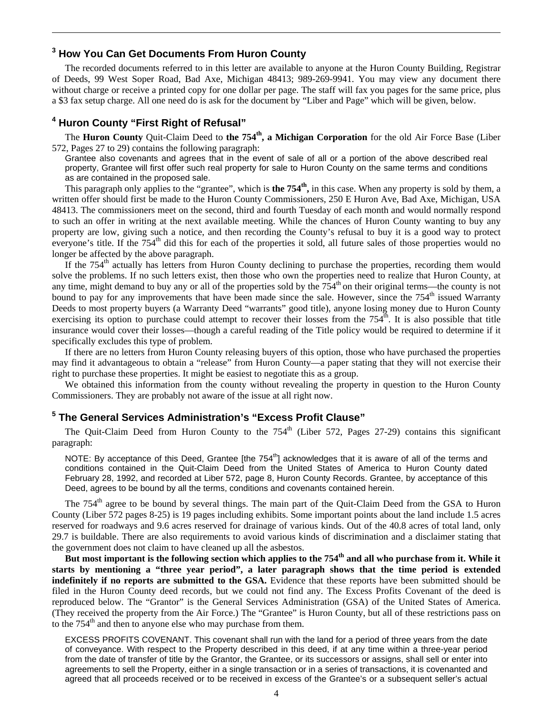## **3 How You Can Get Documents From Huron County**

The recorded documents referred to in this letter are available to anyone at the Huron County Building, Registrar of Deeds, 99 West Soper Road, Bad Axe, Michigan 48413; 989-269-9941. You may view any document there without charge or receive a printed copy for one dollar per page. The staff will fax you pages for the same price, plus a \$3 fax setup charge. All one need do is ask for the document by "Liber and Page" which will be given, below.

## **4 Huron County "First Right of Refusal"**

 $\overline{a}$ 

The **Huron County** Quit-Claim Deed to **the 754th, a Michigan Corporation** for the old Air Force Base (Liber 572, Pages 27 to 29) contains the following paragraph:

Grantee also covenants and agrees that in the event of sale of all or a portion of the above described real property, Grantee will first offer such real property for sale to Huron County on the same terms and conditions as are contained in the proposed sale.

This paragraph only applies to the "grantee", which is **the 754th,** in this case. When any property is sold by them, a written offer should first be made to the Huron County Commissioners, 250 E Huron Ave, Bad Axe, Michigan, USA 48413. The commissioners meet on the second, third and fourth Tuesday of each month and would normally respond to such an offer in writing at the next available meeting. While the chances of Huron County wanting to buy any property are low, giving such a notice, and then recording the County's refusal to buy it is a good way to protect everyone's title. If the 754<sup>th</sup> did this for each of the properties it sold, all future sales of those properties would no longer be affected by the above paragraph.

If the 754<sup>th</sup> actually has letters from Huron County declining to purchase the properties, recording them would solve the problems. If no such letters exist, then those who own the properties need to realize that Huron County, at any time, might demand to buy any or all of the properties sold by the  $754<sup>th</sup>$  on their original terms—the county is not bound to pay for any improvements that have been made since the sale. However, since the  $754<sup>th</sup>$  issued Warranty Deeds to most property buyers (a Warranty Deed "warrants" good title), anyone losing money due to Huron County exercising its option to purchase could attempt to recover their losses from the  $754<sup>th</sup>$ . It is also possible that title insurance would cover their losses—though a careful reading of the Title policy would be required to determine if it specifically excludes this type of problem.

If there are no letters from Huron County releasing buyers of this option, those who have purchased the properties may find it advantageous to obtain a "release" from Huron County—a paper stating that they will not exercise their right to purchase these properties. It might be easiest to negotiate this as a group.

We obtained this information from the county without revealing the property in question to the Huron County Commissioners. They are probably not aware of the issue at all right now.

## **5 The General Services Administration's "Excess Profit Clause"**

The Quit-Claim Deed from Huron County to the 754<sup>th</sup> (Liber 572, Pages 27-29) contains this significant paragraph:

NOTE: By acceptance of this Deed, Grantee [the 754<sup>th</sup>] acknowledges that it is aware of all of the terms and conditions contained in the Quit-Claim Deed from the United States of America to Huron County dated February 28, 1992, and recorded at Liber 572, page 8, Huron County Records. Grantee, by acceptance of this Deed, agrees to be bound by all the terms, conditions and covenants contained herein.

The 754<sup>th</sup> agree to be bound by several things. The main part of the Quit-Claim Deed from the GSA to Huron County (Liber 572 pages 8-25) is 19 pages including exhibits. Some important points about the land include 1.5 acres reserved for roadways and 9.6 acres reserved for drainage of various kinds. Out of the 40.8 acres of total land, only 29.7 is buildable. There are also requirements to avoid various kinds of discrimination and a disclaimer stating that the government does not claim to have cleaned up all the asbestos.

But most important is the following section which applies to the 754<sup>th</sup> and all who purchase from it. While it **starts by mentioning a "three year period", a later paragraph shows that the time period is extended indefinitely if no reports are submitted to the GSA.** Evidence that these reports have been submitted should be filed in the Huron County deed records, but we could not find any. The Excess Profits Covenant of the deed is reproduced below. The "Grantor" is the General Services Administration (GSA) of the United States of America. (They received the property from the Air Force.) The "Grantee" is Huron County, but all of these restrictions pass on to the  $754<sup>th</sup>$  and then to anyone else who may purchase from them.

EXCESS PROFITS COVENANT. This covenant shall run with the land for a period of three years from the date of conveyance. With respect to the Property described in this deed, if at any time within a three-year period from the date of transfer of title by the Grantor, the Grantee, or its successors or assigns, shall sell or enter into agreements to sell the Property, either in a single transaction or in a series of transactions, it is covenanted and agreed that all proceeds received or to be received in excess of the Grantee's or a subsequent seller's actual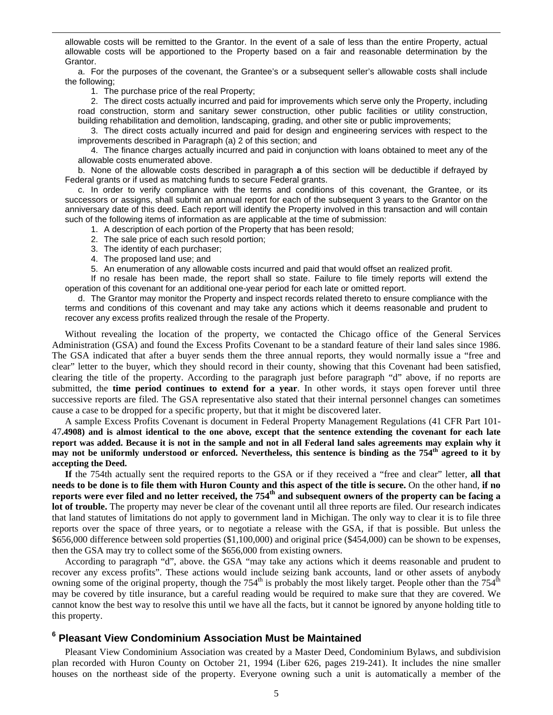allowable costs will be remitted to the Grantor. In the event of a sale of less than the entire Property, actual allowable costs will be apportioned to the Property based on a fair and reasonable determination by the Grantor.

 a. For the purposes of the covenant, the Grantee's or a subsequent seller's allowable costs shall include the following;

1. The purchase price of the real Property;

 $\overline{a}$ 

 2. The direct costs actually incurred and paid for improvements which serve only the Property, including road construction, storm and sanitary sewer construction, other public facilities or utility construction, building rehabilitation and demolition, landscaping, grading, and other site or public improvements;

 3. The direct costs actually incurred and paid for design and engineering services with respect to the improvements described in Paragraph (a) 2 of this section; and

 4. The finance charges actually incurred and paid in conjunction with loans obtained to meet any of the allowable costs enumerated above.

 b. None of the allowable costs described in paragraph **a** of this section will be deductible if defrayed by Federal grants or if used as matching funds to secure Federal grants.

 c. In order to verify compliance with the terms and conditions of this covenant, the Grantee, or its successors or assigns, shall submit an annual report for each of the subsequent 3 years to the Grantor on the anniversary date of this deed. Each report will identify the Property involved in this transaction and will contain such of the following items of information as are applicable at the time of submission:

1. A description of each portion of the Property that has been resold;

- 2. The sale price of each such resold portion;
- 3. The identity of each purchaser;
- 4. The proposed land use; and
- 5. An enumeration of any allowable costs incurred and paid that would offset an realized profit.

 If no resale has been made, the report shall so state. Failure to file timely reports will extend the operation of this covenant for an additional one-year period for each late or omitted report.

 d. The Grantor may monitor the Property and inspect records related thereto to ensure compliance with the terms and conditions of this covenant and may take any actions which it deems reasonable and prudent to recover any excess profits realized through the resale of the Property.

Without revealing the location of the property, we contacted the Chicago office of the General Services Administration (GSA) and found the Excess Profits Covenant to be a standard feature of their land sales since 1986. The GSA indicated that after a buyer sends them the three annual reports, they would normally issue a "free and clear" letter to the buyer, which they should record in their county, showing that this Covenant had been satisfied, clearing the title of the property. According to the paragraph just before paragraph "d" above, if no reports are submitted, the **time period continues to extend for a year**. In other words, it stays open forever until three successive reports are filed. The GSA representative also stated that their internal personnel changes can sometimes cause a case to be dropped for a specific property, but that it might be discovered later.

A sample Excess Profits Covenant is document in Federal Property Management Regulations (41 CFR Part 101- 47**.4908) and is almost identical to the one above, except that the sentence extending the covenant for each late report was added. Because it is not in the sample and not in all Federal land sales agreements may explain why it may not be uniformly understood or enforced. Nevertheless, this sentence is binding as the 754th agreed to it by accepting the Deed.**

**If** the 754th actually sent the required reports to the GSA or if they received a "free and clear" letter, **all that needs to be done is to file them with Huron County and this aspect of the title is secure.** On the other hand, **if no reports were ever filed and no letter received, the 754th and subsequent owners of the property can be facing a lot of trouble.** The property may never be clear of the covenant until all three reports are filed. Our research indicates that land statutes of limitations do not apply to government land in Michigan. The only way to clear it is to file three reports over the space of three years, or to negotiate a release with the GSA, if that is possible. But unless the \$656,000 difference between sold properties (\$1,100,000) and original price (\$454,000) can be shown to be expenses, then the GSA may try to collect some of the \$656,000 from existing owners.

According to paragraph "d", above. the GSA "may take any actions which it deems reasonable and prudent to recover any excess profits". These actions would include seizing bank accounts, land or other assets of anybody owning some of the original property, though the 754<sup>th</sup> is probably the most likely target. People other than the  $754<sup>th</sup>$ may be covered by title insurance, but a careful reading would be required to make sure that they are covered. We cannot know the best way to resolve this until we have all the facts, but it cannot be ignored by anyone holding title to this property.

## **6 Pleasant View Condominium Association Must be Maintained**

Pleasant View Condominium Association was created by a Master Deed, Condominium Bylaws, and subdivision plan recorded with Huron County on October 21, 1994 (Liber 626, pages 219-241). It includes the nine smaller houses on the northeast side of the property. Everyone owning such a unit is automatically a member of the